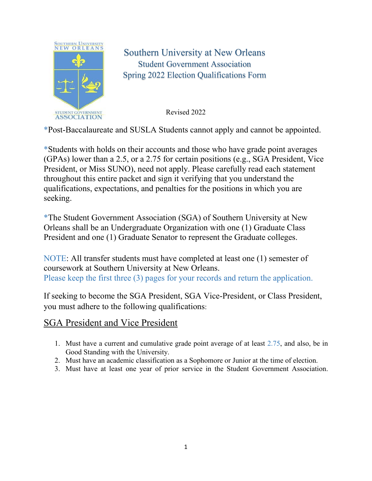

Southern University at New Orleans Student Government Association Spring 2022 Election Qualifications Form

Revised 2022

\*Post-Baccalaureate and SUSLA Students cannot apply and cannot be appointed.

\*Students with holds on their accounts and those who have grade point averages (GPAs) lower than a 2.5, or a 2.75 for certain positions (e.g., SGA President, Vice President, or Miss SUNO), need not apply. Please carefully read each statement throughout this entire packet and sign it verifying that you understand the qualifications, expectations, and penalties for the positions in which you are seeking.

\*The Student Government Association (SGA) of Southern University at New Orleans shall be an Undergraduate Organization with one (1) Graduate Class President and one (1) Graduate Senator to represent the Graduate colleges.

NOTE: All transfer students must have completed at least one (1) semester of coursework at Southern University at New Orleans. Please keep the first three (3) pages for your records and return the application.

If seeking to become the SGA President, SGA Vice-President, or Class President, you must adhere to the following qualifications:

### SGA President and Vice President

- 1. Must have a current and cumulative grade point average of at least 2.75, and also, be in Good Standing with the University.
- 2. Must have an academic classification as a Sophomore or Junior at the time of election.
- 3. Must have at least one year of prior service in the Student Government Association.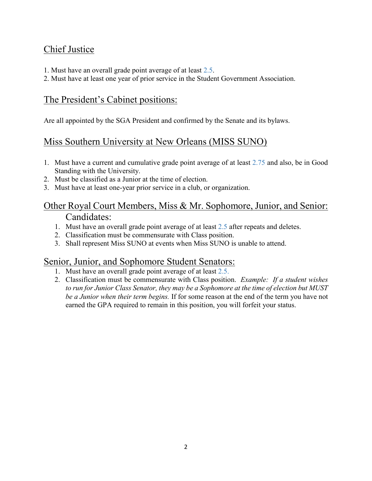## Chief Justice

- 1. Must have an overall grade point average of at least 2.5.
- 2. Must have at least one year of prior service in the Student Government Association.

## The President's Cabinet positions:

Are all appointed by the SGA President and confirmed by the Senate and its bylaws.

### Miss Southern University at New Orleans (MISS SUNO)

- 1. Must have a current and cumulative grade point average of at least 2.75 and also, be in Good Standing with the University.
- 2. Must be classified as a Junior at the time of election.
- 3. Must have at least one-year prior service in a club, or organization.

#### Other Royal Court Members, Miss & Mr. Sophomore, Junior, and Senior: Candidates:

- 1. Must have an overall grade point average of at least 2.5 after repeats and deletes.
- 2. Classification must be commensurate with Class position.
- 3. Shall represent Miss SUNO at events when Miss SUNO is unable to attend.

#### Senior, Junior, and Sophomore Student Senators:

- 1. Must have an overall grade point average of at least 2.5.
- 2. Classification must be commensurate with Class position. *Example: If a student wishes to run for Junior Class Senator, they may be a Sophomore at the time of election but MUST be a Junior when their term begins.* If for some reason at the end of the term you have not earned the GPA required to remain in this position, you will forfeit your status.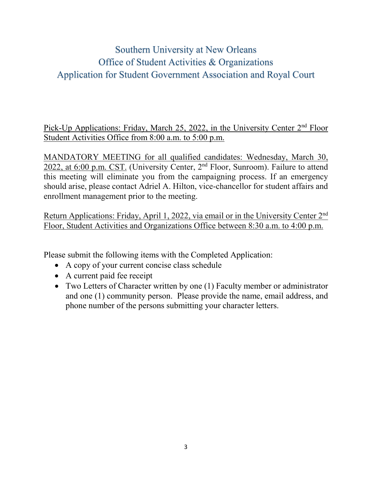# Southern University at New Orleans Office of Student Activities & Organizations Application for Student Government Association and Royal Court

Pick-Up Applications: Friday, March 25, 2022, in the University Center 2<sup>nd</sup> Floor Student Activities Office from 8:00 a.m. to 5:00 p.m.

MANDATORY MEETING for all qualified candidates: Wednesday, March 30, 2022, at 6:00 p.m. CST. (University Center, 2nd Floor, Sunroom). Failure to attend this meeting will eliminate you from the campaigning process. If an emergency should arise, please contact Adriel A. Hilton, vice-chancellor for student affairs and enrollment management prior to the meeting.

Return Applications: Friday, April 1, 2022, via email or in the University Center 2nd Floor, Student Activities and Organizations Office between 8:30 a.m. to 4:00 p.m.

Please submit the following items with the Completed Application:

- A copy of your current concise class schedule
- A current paid fee receipt
- Two Letters of Character written by one (1) Faculty member or administrator and one (1) community person. Please provide the name, email address, and phone number of the persons submitting your character letters.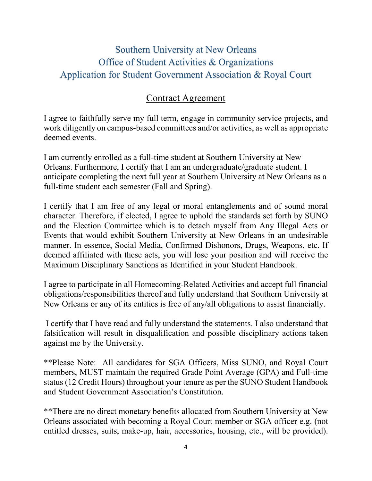## Southern University at New Orleans Office of Student Activities & Organizations Application for Student Government Association & Royal Court

## Contract Agreement

I agree to faithfully serve my full term, engage in community service projects, and work diligently on campus-based committees and/or activities, as well as appropriate deemed events.

I am currently enrolled as a full-time student at Southern University at New Orleans. Furthermore, I certify that I am an undergraduate/graduate student. I anticipate completing the next full year at Southern University at New Orleans as a full-time student each semester (Fall and Spring).

I certify that I am free of any legal or moral entanglements and of sound moral character. Therefore, if elected, I agree to uphold the standards set forth by SUNO and the Election Committee which is to detach myself from Any Illegal Acts or Events that would exhibit Southern University at New Orleans in an undesirable manner. In essence, Social Media, Confirmed Dishonors, Drugs, Weapons, etc. If deemed affiliated with these acts, you will lose your position and will receive the Maximum Disciplinary Sanctions as Identified in your Student Handbook.

I agree to participate in all Homecoming-Related Activities and accept full financial obligations/responsibilities thereof and fully understand that Southern University at New Orleans or any of its entities is free of any/all obligations to assist financially.

I certify that I have read and fully understand the statements. I also understand that falsification will result in disqualification and possible disciplinary actions taken against me by the University.

\*\*Please Note: All candidates for SGA Officers, Miss SUNO, and Royal Court members, MUST maintain the required Grade Point Average (GPA) and Full-time status (12 Credit Hours) throughout your tenure as per the SUNO Student Handbook and Student Government Association's Constitution.

\*\*There are no direct monetary benefits allocated from Southern University at New Orleans associated with becoming a Royal Court member or SGA officer e.g. (not entitled dresses, suits, make-up, hair, accessories, housing, etc., will be provided).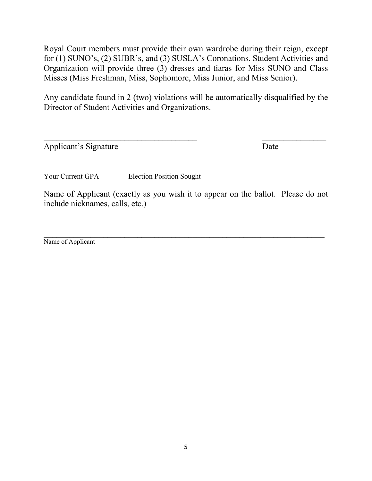Royal Court members must provide their own wardrobe during their reign, except for (1) SUNO's, (2) SUBR's, and (3) SUSLA's Coronations. Student Activities and Organization will provide three (3) dresses and tiaras for Miss SUNO and Class Misses (Miss Freshman, Miss, Sophomore, Miss Junior, and Miss Senior).

Any candidate found in 2 (two) violations will be automatically disqualified by the Director of Student Activities and Organizations.

 $\mathcal{L}_\text{max}$  , and the contract of the contract of the contract of the contract of the contract of the contract of the contract of the contract of the contract of the contract of the contract of the contract of the contr

Applicant's Signature Date

Your Current GPA \_\_\_\_\_\_\_\_\_ Election Position Sought \_\_\_\_\_\_\_\_\_\_\_\_\_\_\_\_\_\_\_\_\_\_\_\_\_\_\_\_

Name of Applicant (exactly as you wish it to appear on the ballot. Please do not include nicknames, calls, etc.)

 $\overline{a}$  , and the contribution of the contribution of the contribution of the contribution of the contribution of the contribution of the contribution of the contribution of the contribution of the contribution of the co

Name of Applicant